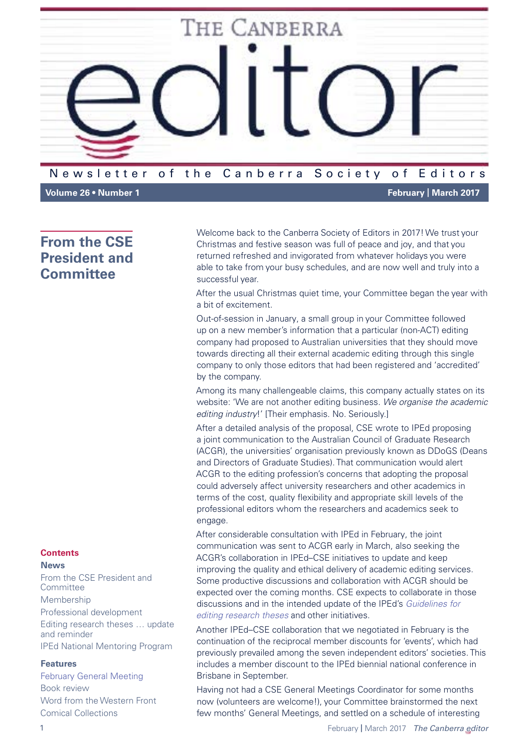

## Newsletter of the Canberra Society of Editors

successful year.

**Volume 26 • Number 1 February** | **March 2017**

# <span id="page-0-0"></span>**From the CSE President and Committee**

a bit of excitement. Out-of-session in January, a small group in your Committee followed up on a new member's information that a particular (non-ACT) editing company had proposed to Australian universities that they should move towards directing all their external academic editing through this single company to only those editors that had been registered and 'accredited' by the company.

After the usual Christmas quiet time, your Committee began the year with

Welcome back to the Canberra Society of Editors in 2017! We trust your Christmas and festive season was full of peace and joy, and that you returned refreshed and invigorated from whatever holidays you were able to take from your busy schedules, and are now well and truly into a

Among its many challengeable claims, this company actually states on its website: 'We are not another editing business. *We organise the academic editing industry*!' [Their emphasis. No. Seriously.]

After a detailed analysis of the proposal, CSE wrote to IPEd proposing a joint communication to the Australian Council of Graduate Research (ACGR), the universities' organisation previously known as DDoGS (Deans and Directors of Graduate Studies). That communication would alert ACGR to the editing profession's concerns that adopting the proposal could adversely affect university researchers and other academics in terms of the cost, quality flexibility and appropriate skill levels of the professional editors whom the researchers and academics seek to engage.

After considerable consultation with IPEd in February, the joint communication was sent to ACGR early in March, also seeking the ACGR's collaboration in IPEd–CSE initiatives to update and keep improving the quality and ethical delivery of academic editing services. Some productive discussions and collaboration with ACGR should be expected over the coming months. CSE expects to collaborate in those discussions and in the intended update of the IPEd's *[Guidelines for](http://www.iped-editors.org/About_editing/Editing_theses.aspx)  [editing research theses](http://www.iped-editors.org/About_editing/Editing_theses.aspx)* and other initiatives.

Another IPEd–CSE collaboration that we negotiated in February is the continuation of the reciprocal member discounts for 'events', which had previously prevailed among the seven independent editors' societies. This includes a member discount to the IPEd biennial national conference in Brisbane in September.

Having not had a CSE General Meetings Coordinator for some months now (volunteers are welcome!), your Committee brainstormed the next few months' General Meetings, and settled on a schedule of interesting

#### **Contents**

#### **News**

[From the CSE President and](#page-0-0)  **[Committee](#page-0-0)** [Membership](#page-1-0) [Professional development](#page-2-0)

[Editing research theses … update](#page-3-0)  [and reminder](#page-3-0) [IPEd National Mentoring Program](#page-4-0)

#### **Features**

[February General Meeting](#page-5-0) [Book review](#page-6-0) [Word from the Western Front](#page-9-0) [Comical Collections](#page-12-0)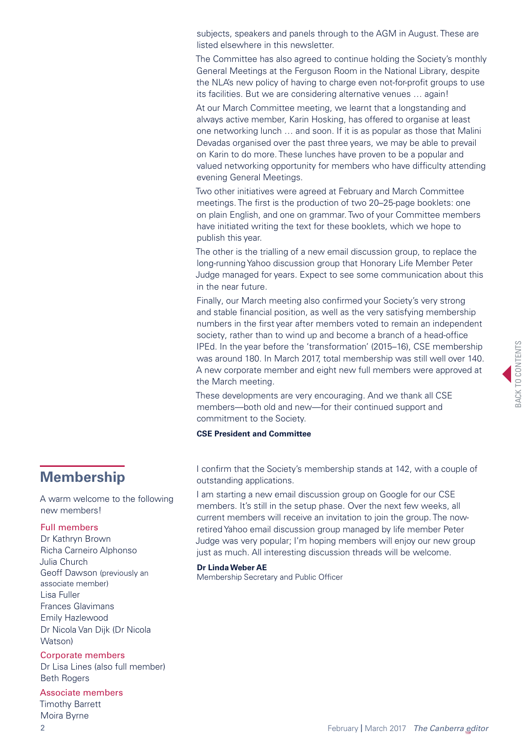subjects, speakers and panels through to the AGM in August. These are listed elsewhere in this newsletter.

The Committee has also agreed to continue holding the Society's monthly General Meetings at the Ferguson Room in the National Library, despite the NLA's new policy of having to charge even not-for-profit groups to use its facilities. But we are considering alternative venues … again!

At our March Committee meeting, we learnt that a longstanding and always active member, Karin Hosking, has offered to organise at least one networking lunch … and soon. If it is as popular as those that Malini Devadas organised over the past three years, we may be able to prevail on Karin to do more. These lunches have proven to be a popular and valued networking opportunity for members who have difficulty attending evening General Meetings.

Two other initiatives were agreed at February and March Committee meetings. The first is the production of two 20–25-page booklets: one on plain English, and one on grammar. Two of your Committee members have initiated writing the text for these booklets, which we hope to publish this year.

The other is the trialling of a new email discussion group, to replace the long-running Yahoo discussion group that Honorary Life Member Peter Judge managed for years. Expect to see some communication about this in the near future.

Finally, our March meeting also confirmed your Society's very strong and stable financial position, as well as the very satisfying membership numbers in the first year after members voted to remain an independent society, rather than to wind up and become a branch of a head-office IPEd. In the year before the 'transformation' (2015–16), CSE membership was around 180. In March 2017, total membership was still well over 140. A new corporate member and eight new full members were approved at the March meeting.

These developments are very encouraging. And we thank all CSE members—both old and new—for their continued support and commitment to the Society.

**CSE President and Committee**

<span id="page-1-0"></span>**Membership** I confirm that the Society's membership stands at 142, with a couple of **Membership** outstanding applications.

> I am starting a new email discussion group on Google for our CSE members. It's still in the setup phase. Over the next few weeks, all current members will receive an invitation to join the group. The nowretired Yahoo email discussion group managed by life member Peter Judge was very popular; I'm hoping members will enjoy our new group just as much. All interesting discussion threads will be welcome.

#### **Dr Linda Weber AE**

Membership Secretary and Public Officer

A warm welcome to the following new members!

#### Full members

Dr Kathryn Brown Richa Carneiro Alphonso Julia Church Geoff Dawson (previously an associate member) Lisa Fuller Frances Glavimans Emily Hazlewood Dr Nicola Van Dijk (Dr Nicola Watson)

Corporate members

Dr Lisa Lines (also full member) Beth Rogers

Associate members Timothy Barrett Moira Byrne

BACK TO CONTENTS **BACK TO CONTENTS**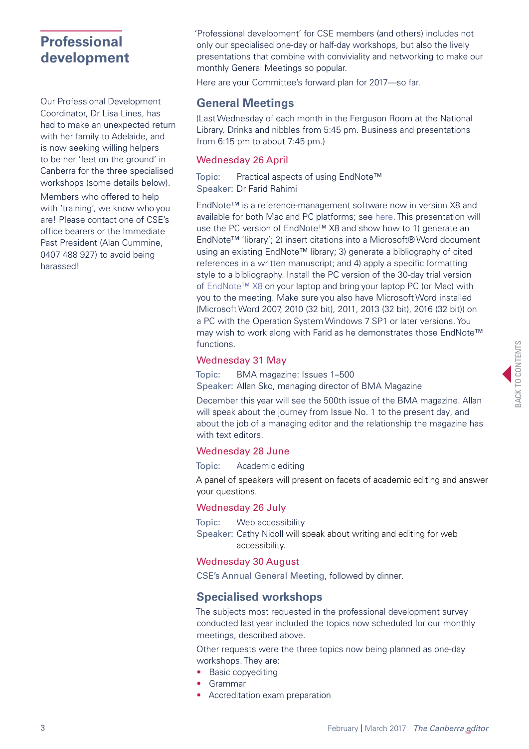# <span id="page-2-0"></span>**Professional development**

Our Professional Development Coordinator, Dr Lisa Lines, has had to make an unexpected return with her family to Adelaide, and is now seeking willing helpers to be her 'feet on the ground' in Canberra for the three specialised workshops (some details below).

Members who offered to help with 'training', we know who you are! Please contact one of CSE's office bearers or the Immediate Past President (Alan Cummine, 0407 488 927) to avoid being harassed!

'Professional development' for CSE members (and others) includes not only our specialised one-day or half-day workshops, but also the lively presentations that combine with conviviality and networking to make our monthly General Meetings so popular.

Here are your Committee's forward plan for 2017—so far.

# **General Meetings**

(Last Wednesday of each month in the Ferguson Room at the National Library. Drinks and nibbles from 5:45 pm. Business and presentations from 6:15 pm to about 7:45 pm.)

## Wednesday 26 April

Topic: Practical aspects of using EndNote<sup>™</sup> Speaker: Dr Farid Rahimi

EndNote™ is a reference-management software now in version X8 and available for both Mac and PC platforms; see [here](http://endnote.com/downloads/30-day-trial). This presentation will use the PC version of EndNote™ X8 and show how to 1) generate an EndNote™ 'library'; 2) insert citations into a Microsoft® Word document using an existing EndNote™ library; 3) generate a bibliography of cited references in a written manuscript; and 4) apply a specific formatting style to a bibliography. Install the PC version of the 30-day trial version of [EndNote™ X8](http://endnote.com/downloads/30-day-trial) on your laptop and bring your laptop PC (or Mac) with you to the meeting. Make sure you also have Microsoft Word installed (Microsoft Word 2007, 2010 (32 bit), 2011, 2013 (32 bit), 2016 (32 bit)) on a PC with the Operation System Windows 7 SP1 or later versions. You may wish to work along with Farid as he demonstrates those EndNote™ functions.

# Wednesday 31 May

Topic: BMA magazine: Issues 1–500

Speaker: Allan Sko, managing director of BMA Magazine

December this year will see the 500th issue of the BMA magazine. Allan will speak about the journey from Issue No. 1 to the present day, and about the job of a managing editor and the relationship the magazine has with text editors.

# Wednesday 28 June

## Topic: Academic editing

A panel of speakers will present on facets of academic editing and answer your questions.

## Wednesday 26 July

Topic: Web accessibility Speaker: Cathy Nicoll will speak about writing and editing for web accessibility.

# Wednesday 30 August

CSE's Annual General Meeting, followed by dinner.

# **Specialised workshops**

The subjects most requested in the professional development survey conducted last year included the topics now scheduled for our monthly meetings, described above.

Other requests were the three topics now being planned as one-day workshops. They are:

- Basic copyediting
- Grammar
- Accreditation exam preparation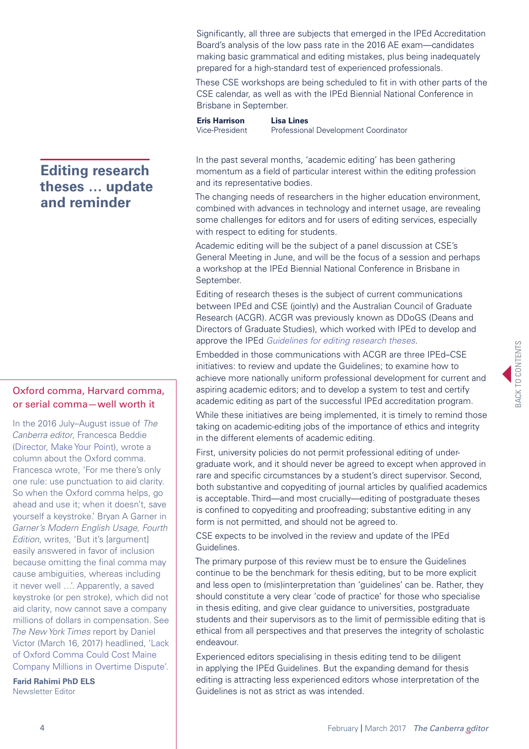Significantly, all three are subjects that emerged in the IPEd Accreditation Board's analysis of the low pass rate in the 2016 AE exam—candidates making basic grammatical and editing mistakes, plus being inadequately prepared for a high-standard test of experienced professionals.

These CSE workshops are being scheduled to fit in with other parts of the CSE calendar, as well as with the IPEd Biennial National Conference in Brisbane in September.

| <b>Eris Harrison</b> | <b>Lisa Lines</b>                    |
|----------------------|--------------------------------------|
| Vice-President       | Professional Development Coordinator |

In the past several months, 'academic editing' has been gathering momentum as a field of particular interest within the editing profession and its representative bodies.

The changing needs of researchers in the higher education environment, combined with advances in technology and internet usage, are revealing some challenges for editors and for users of editing services, especially with respect to editing for students.

Academic editing will be the subject of a panel discussion at CSE's General Meeting in June, and will be the focus of a session and perhaps a workshop at the IPEd Biennial National Conference in Brisbane in September.

Editing of research theses is the subject of current communications between IPEd and CSE (jointly) and the Australian Council of Graduate Research (ACGR). ACGR was previously known as DDoGS (Deans and Directors of Graduate Studies), which worked with IPEd to develop and approve the IPEd *[Guidelines for editing research theses](http://www.iped-editors.org/About_editing/Editing_theses.aspx)*.

Embedded in those communications with ACGR are three IPEd–CSE initiatives: to review and update the Guidelines; to examine how to achieve more nationally uniform professional development for current and aspiring academic editors; and to develop a system to test and certify academic editing as part of the successful IPEd accreditation program.

While these initiatives are being implemented, it is timely to remind those taking on academic-editing jobs of the importance of ethics and integrity in the different elements of academic editing.

First, university policies do not permit professional editing of undergraduate work, and it should never be agreed to except when approved in rare and specific circumstances by a student's direct supervisor. Second, both substantive and copyediting of journal articles by qualified academics is acceptable. Third—and most crucially—editing of postgraduate theses is confined to copyediting and proofreading; substantive editing in any form is not permitted, and should not be agreed to.

CSE expects to be involved in the review and update of the IPEd Guidelines.

The primary purpose of this review must be to ensure the Guidelines continue to be the benchmark for thesis editing, but to be more explicit and less open to (mis)interpretation than 'guidelines' can be. Rather, they should constitute a very clear 'code of practice' for those who specialise in thesis editing, and give clear guidance to universities, postgraduate students and their supervisors as to the limit of permissible editing that is ethical from all perspectives and that preserves the integrity of scholastic endeavour.

Experienced editors specialising in thesis editing tend to be diligent in applying the IPEd Guidelines. But the expanding demand for thesis editing is attracting less experienced editors whose interpretation of the Guidelines is not as strict as was intended.

# <span id="page-3-0"></span>**Editing research theses … update and reminder**

# Oxford comma, Harvard comma, or serial comma—well worth it

In the 2016 July–August issue of *The Canberra editor*, Francesca Beddie ([Director, Make Your Point\)](http://www.makeyourpoint.com.au/), wrote a column about the Oxford comma. Francesca wrote, 'For me there's only one rule: use punctuation to aid clarity. So when the Oxford comma helps, go ahead and use it; when it doesn't, save yourself a keystroke.' Bryan A Garner in *Garner's Modern English Usage, Fourth Edition*, writes, 'But it's [argument] easily answered in favor of inclusion because omitting the final comma may cause ambiguities, whereas including it never well …'. Apparently, a saved keystroke (or pen stroke), which did not aid clarity, now cannot save a company millions of dollars in compensation. See *The New York Times* report by Daniel Victor (March 16, 2017) headlined, '[Lack](https://mobile.nytimes.com/2017/03/16/us/oxford-comma-lawsuit.html)  [of Oxford Comma Could Cost Maine](https://mobile.nytimes.com/2017/03/16/us/oxford-comma-lawsuit.html)  [Company Millions in Overtime Dispute](https://mobile.nytimes.com/2017/03/16/us/oxford-comma-lawsuit.html)'.

**Farid Rahimi PhD ELS** Newsletter Editor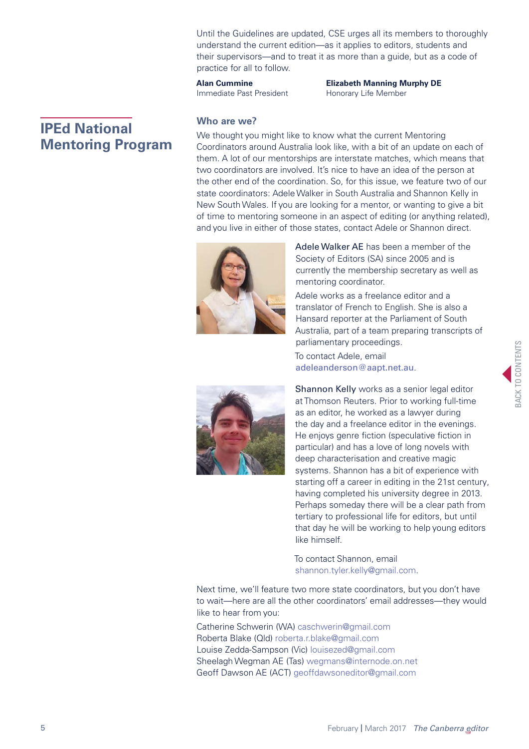Until the Guidelines are updated, CSE urges all its members to thoroughly understand the current edition—as it applies to editors, students and their supervisors—and to treat it as more than a guide, but as a code of practice for all to follow.

Immediate Past President Honorary Life Member

**Alan Cummine Elizabeth Manning Murphy DE**

# <span id="page-4-0"></span>**IPEd National Mentoring Program**

**Who are we?**

We thought you might like to know what the current Mentoring Coordinators around Australia look like, with a bit of an update on each of them. A lot of our mentorships are interstate matches, which means that two coordinators are involved. It's nice to have an idea of the person at the other end of the coordination. So, for this issue, we feature two of our state coordinators: Adele Walker in South Australia and Shannon Kelly in New South Wales. If you are looking for a mentor, or wanting to give a bit of time to mentoring someone in an aspect of editing (or anything related), and you live in either of those states, contact Adele or Shannon direct.



Adele Walker AE has been a member of the Society of Editors (SA) since 2005 and is currently the membership secretary as well as mentoring coordinator.

Adele works as a freelance editor and a translator of French to English. She is also a Hansard reporter at the Parliament of South Australia, part of a team preparing transcripts of parliamentary proceedings.

To contact Adele, email [adeleanderson@aapt.net.au](mailto:adeleanderson@aapt.net.au).



Shannon Kelly works as a senior legal editor at Thomson Reuters. Prior to working full-time as an editor, he worked as a lawyer during the day and a freelance editor in the evenings. He enjoys genre fiction (speculative fiction in particular) and has a love of long novels with deep characterisation and creative magic systems. Shannon has a bit of experience with starting off a career in editing in the 21st century, having completed his university degree in 2013. Perhaps someday there will be a clear path from tertiary to professional life for editors, but until that day he will be working to help young editors like himself.

To contact Shannon, email [shannon.tyler.kelly@gmail.com](mailto:shannon.tyler.kelly@gmail.com).

Next time, we'll feature two more state coordinators, but you don't have to wait—here are all the other coordinators' email addresses—they would like to hear from you:

Catherine Schwerin (WA) [caschwerin@gmail.com](mailto:caschwerin@gmail.com) Roberta Blake (Qld) [roberta.r.blake@gmail.com](mailto:roberta.r.blake@gmail.com) Louise Zedda-Sampson (Vic) [louisezed@gmail.com](mailto:louisezed@gmail.com) Sheelagh Wegman AE (Tas) [wegmans@internode.on.net](mailto:wegmans@internode.on.net) Geoff Dawson AE (ACT) [geoffdawsoneditor@gmail.com](mailto:geoffdawsoneditor@gmail.com)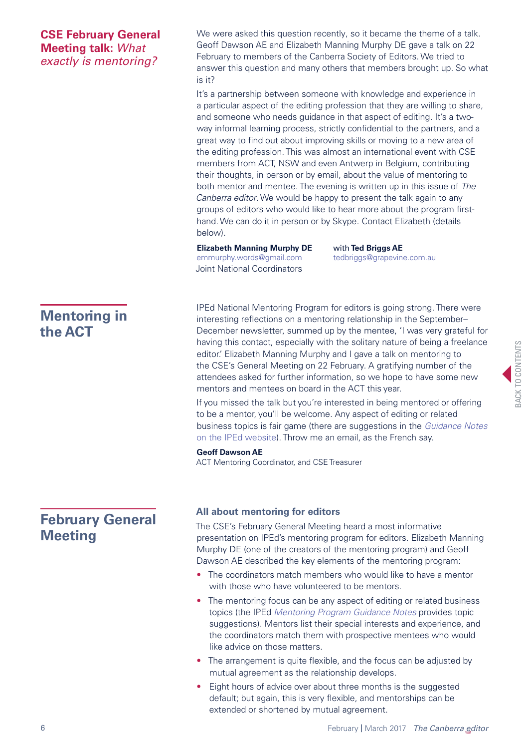# **CSE February General Meeting talk:** *What exactly is mentoring?*

**Mentoring in the ACT** 

# <span id="page-5-0"></span>**February General Meeting**

We were asked this question recently, so it became the theme of a talk. Geoff Dawson AE and Elizabeth Manning Murphy DE gave a talk on 22 February to members of the Canberra Society of Editors. We tried to answer this question and many others that members brought up. So what is it?

It's a partnership between someone with knowledge and experience in a particular aspect of the editing profession that they are willing to share, and someone who needs guidance in that aspect of editing. It's a twoway informal learning process, strictly confidential to the partners, and a great way to find out about improving skills or moving to a new area of the editing profession. This was almost an international event with CSE members from ACT, NSW and even Antwerp in Belgium, contributing their thoughts, in person or by email, about the value of mentoring to both mentor and mentee. The evening is written up in this issue of *The Canberra editor*. We would be happy to present the talk again to any groups of editors who would like to hear more about the program firsthand. We can do it in person or by Skype. Contact Elizabeth (details below).

#### **Elizabeth Manning Murphy DE** with **Ted Briggs AE**

[emmurphy.words@gmail.com](mailto:emmurphy.words%40gmail.com?subject=) [tedbriggs@grapevine.com.au](mailto:tedbriggs%40grapevine.com.au?subject=) Joint National Coordinators

IPEd National Mentoring Program for editors is going strong. There were interesting reflections on a mentoring relationship in the September– December newsletter, summed up by the mentee, 'I was very grateful for having this contact, especially with the solitary nature of being a freelance editor.' Elizabeth Manning Murphy and I gave a talk on mentoring to the CSE's General Meeting on 22 February. A gratifying number of the attendees asked for further information, so we hope to have some new mentors and mentees on board in the ACT this year.

If you missed the talk but you're interested in being mentored or offering to be a mentor, you'll be welcome. Any aspect of editing or related business topics is fair game (there are suggestions in the *[Guidance Notes](http://www.iped-editors.org/Professional_development/Mentoring.aspx)* [on the IPEd website](http://www.iped-editors.org/Professional_development/Mentoring.aspx)). Throw me an email, as the French say.

#### **Geoff Dawson AE**

ACT Mentoring Coordinator, and CSE Treasurer

### **All about mentoring for editors**

The CSE's February General Meeting heard a most informative presentation on IPEd's mentoring program for editors. Elizabeth Manning Murphy DE (one of the creators of the mentoring program) and Geoff Dawson AE described the key elements of the mentoring program:

- The coordinators match members who would like to have a mentor with those who have volunteered to be mentors.
- The mentoring focus can be any aspect of editing or related business topics (the IPEd *[Mentoring Program Guidance Notes](http://www.iped-editors.org/Professional_development/Mentoring.aspx)* provides topic suggestions). Mentors list their special interests and experience, and the coordinators match them with prospective mentees who would like advice on those matters.
- The arrangement is quite flexible, and the focus can be adjusted by mutual agreement as the relationship develops.
- Eight hours of advice over about three months is the suggested default; but again, this is very flexible, and mentorships can be extended or shortened by mutual agreement.

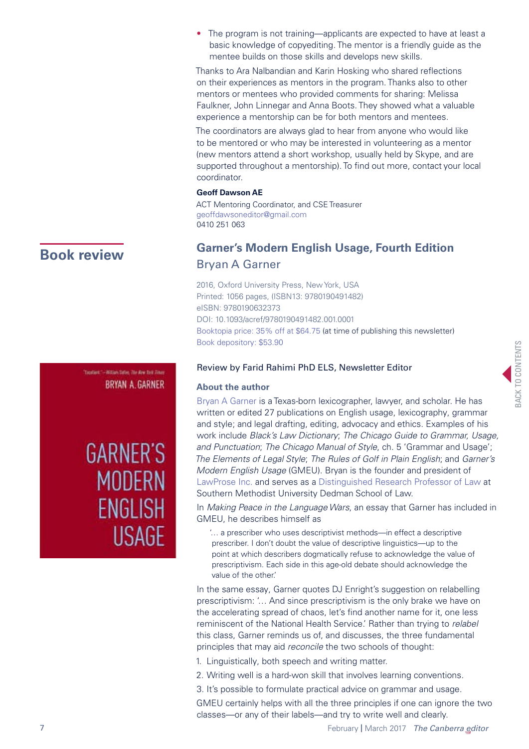Thanks to Ara Nalbandian and Karin Hosking who shared reflections on their experiences as mentors in the program. Thanks also to other mentors or mentees who provided comments for sharing: Melissa Faulkner, John Linnegar and Anna Boots. They showed what a valuable experience a mentorship can be for both mentors and mentees.

The coordinators are always glad to hear from anyone who would like to be mentored or who may be interested in volunteering as a mentor (new mentors attend a short workshop, usually held by Skype, and are supported throughout a mentorship). To find out more, contact your local coordinator.

### **Geoff Dawson AE**

ACT Mentoring Coordinator, and CSE Treasurer [geoffdawsoneditor@gmail.com](mailto:geoffdawsoneditor@gmail.com) 0410 251 063

# <span id="page-6-0"></span>**Book review Garner's Modern English Usage, Fourth Edition**

# Bryan A Garner

2016, Oxford University Press, New York, USA Printed: 1056 pages, (ISBN13: 9780190491482) eISBN: 9780190632373 DOI: 10.1093/acref/9780190491482.001.0001 [Booktopia price: 35% off at \\$64.75](http://www.booktopia.com.au/search.ep?keywords=garner%27s+modern+English+usage&productType=917504) (at time of publishing this newsletter) [Book depository: \\$53.90](https://www.bookdepository.com/Garners-Modern-English-Usage-Bryan--Garner/9780190491482)

## Review by Farid Rahimi PhD ELS, Newsletter Editor

## **About the author**

[Bryan A Garner](https://en.wikipedia.org/wiki/Bryan_A._Garner) is a Texas-born lexicographer, lawyer, and scholar. He has written or edited 27 publications on English usage, lexicography, grammar and style; and legal drafting, editing, advocacy and ethics. Examples of his work include *Black's Law Dictionary*; *The Chicago Guide to Grammar, Usage, and Punctuation*; *The Chicago Manual of Style*, ch. 5 'Grammar and Usage'; *The Elements of Legal Style*; *The Rules of Golf in Plain English*; and *Garner's Modern English Usage* (GMEU). Bryan is the founder and president of [LawProse Inc.](http://www.lawprose.org) and serves as a [Distinguished Research Professor of Law](http://www.law.smu.edu/professor-profiles/garner) at Southern Methodist University Dedman School of Law.

In *Making Peace in the Language Wars*, an essay that Garner has included in GMEU, he describes himself as

'… a prescriber who uses descriptivist methods—in effect a descriptive prescriber. I don't doubt the value of descriptive linguistics—up to the point at which describers dogmatically refuse to acknowledge the value of prescriptivism. Each side in this age-old debate should acknowledge the value of the other.'

In the same essay, Garner quotes DJ Enright's suggestion on relabelling prescriptivism: '… And since prescriptivism is the only brake we have on the accelerating spread of chaos, let's find another name for it, one less reminiscent of the National Health Service.' Rather than trying to *relabel* this class, Garner reminds us of, and discusses, the three fundamental principles that may aid *reconcile* the two schools of thought:

- 1. Linguistically, both speech and writing matter.
- 2. Writing well is a hard-won skill that involves learning conventions.
- 3. It's possible to formulate practical advice on grammar and usage.

GMEU certainly helps with all the three principles if one can ignore the two classes—or any of their labels—and try to write well and clearly.

Trodant "-William Safee, The Aire Told When **BRYAN A. GARNER** 

**GARNER'S MODERN ENGLISH USAGE**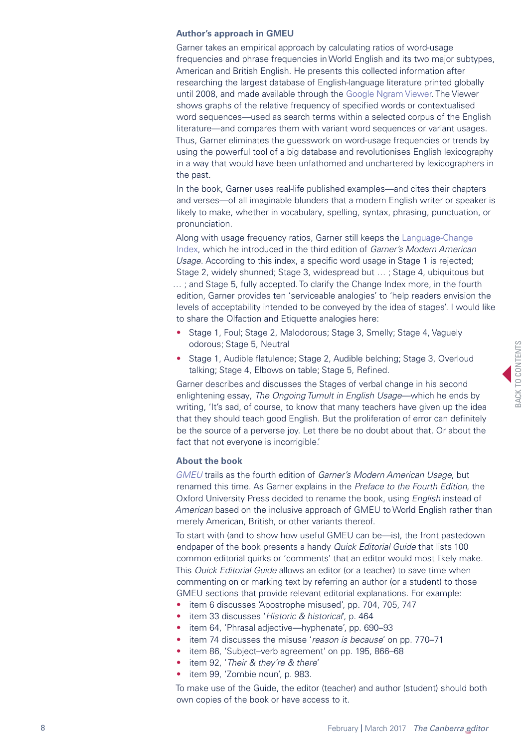#### **Author's approach in GMEU**

Garner takes an empirical approach by calculating ratios of word-usage frequencies and phrase frequencies in World English and its two major subtypes, American and British English. He presents this collected information after researching the largest database of English-language literature printed globally until 2008, and made available through the [Google Ngram Viewer.](https://books.google.com/ngrams) The Viewer shows graphs of the relative frequency of specified words or contextualised word sequences—used as search terms within a selected corpus of the English literature—and compares them with variant word sequences or variant usages. Thus, Garner eliminates the guesswork on word-usage frequencies or trends by using the powerful tool of a big database and revolutionises English lexicography in a way that would have been unfathomed and unchartered by lexicographers in the past.

In the book, Garner uses real-life published examples—and cites their chapters and verses—of all imaginable blunders that a modern English writer or speaker is likely to make, whether in vocabulary, spelling, syntax, phrasing, punctuation, or pronunciation.

Along with usage frequency ratios, Garner still keeps the [Language-Change](http://www.lawprose.org/language-change-index/)  [Index,](http://www.lawprose.org/language-change-index/) which he introduced in the third edition of *Garner's Modern American Usage*. According to this index, a specific word usage in Stage 1 is rejected; Stage 2, widely shunned; Stage 3, widespread but … ; Stage 4, ubiquitous but … ; and Stage 5, fully accepted. To clarify the Change Index more, in the fourth edition, Garner provides ten 'serviceable analogies' to 'help readers envision the levels of acceptability intended to be conveyed by the idea of stages'. I would like to share the Olfaction and Etiquette analogies here:

- Stage 1, Foul; Stage 2, Malodorous; Stage 3, Smelly; Stage 4, Vaguely odorous; Stage 5, Neutral
- Stage 1, Audible flatulence; Stage 2, Audible belching; Stage 3, Overloud talking; Stage 4, Elbows on table; Stage 5, Refined.

Garner describes and discusses the Stages of verbal change in his second enlightening essay, *The Ongoing Tumult in English Usage*—which he ends by writing, 'It's sad, of course, to know that many teachers have given up the idea that they should teach good English. But the proliferation of error can definitely be the source of a perverse joy. Let there be no doubt about that. Or about the fact that not everyone is incorrigible.'

#### **About the book**

*[GMEU](http://www.goodreads.com/book/show/26890896-garner-s-modern-english-usage)* trails as the fourth edition of *Garner's Modern American Usage*, but renamed this time. As Garner explains in the *Preface to the Fourth Edition*, the Oxford University Press decided to rename the book, using *English* instead of *American* based on the inclusive approach of GMEU to World English rather than merely American, British, or other variants thereof.

To start with (and to show how useful GMEU can be—is), the front pastedown endpaper of the book presents a handy *Quick Editorial Guide* that lists 100 common editorial quirks or 'comments' that an editor would most likely make. This *Quick Editorial Guide* allows an editor (or a teacher) to save time when commenting on or marking text by referring an author (or a student) to those GMEU sections that provide relevant editorial explanations. For example:

- item 6 discusses 'Apostrophe misused', pp. 704, 705, 747
- item 33 discusses '*Historic & historical*', p. 464
- item 64, 'Phrasal adjective—hyphenate', pp. 690–93
- item 74 discusses the misuse '*reason is because*' on pp. 770–71
- item 86, 'Subject–verb agreement' on pp. 195, 866–68
- item 92, '*Their & they're & there*'
- item 99, 'Zombie noun', p. 983.

To make use of the Guide, the editor (teacher) and author (student) should both own copies of the book or have access to it.

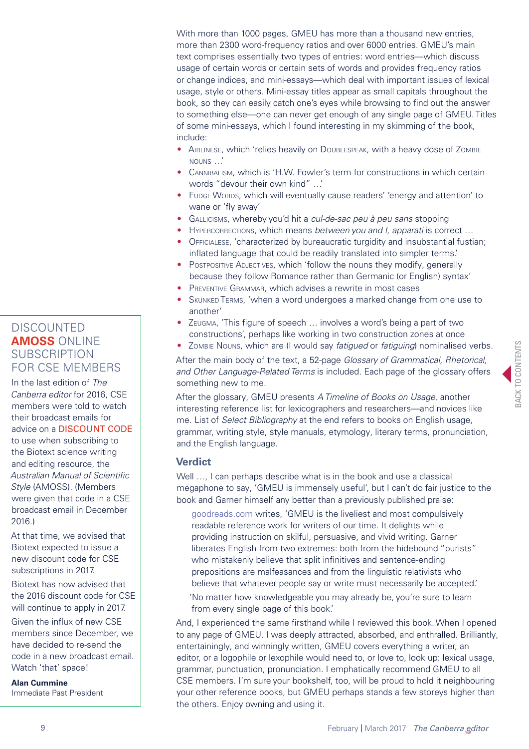With more than 1000 pages, GMEU has more than a thousand new entries, more than 2300 word-frequency ratios and over 6000 entries. GMEU's main text comprises essentially two types of entries: word entries—which discuss usage of certain words or certain sets of words and provides frequency ratios or change indices, and mini-essays—which deal with important issues of lexical usage, style or others. Mini-essay titles appear as small capitals throughout the book, so they can easily catch one's eyes while browsing to find out the answer to something else—one can never get enough of any single page of GMEU. Titles of some mini-essays, which I found interesting in my skimming of the book, include:

- AIRLINESE, which 'relies heavily on Doublespeak, with a heavy dose of Zombie nouns …'
- CANNIBALISM, which is 'H.W. Fowler's term for constructions in which certain words "devour their own kind" …'
- Fudge Words, which will eventually cause readers' 'energy and attention' to wane or 'fly away'
- Gallicisms, whereby you'd hit a *cul-de-sac peu à peu sans* stopping
- HYPERCORRECTIONS, which means *between you and I, apparati* is correct ...
- Officialese, 'characterized by bureaucratic turgidity and insubstantial fustian; inflated language that could be readily translated into simpler terms.'
- Post positive Adjectives, which 'follow the nouns they modify, generally because they follow Romance rather than Germanic (or English) syntax'
- PREVENTIVE GRAMMAR, which advises a rewrite in most cases
- Skunked Terms, 'when a word undergoes a marked change from one use to another'
- ZEUGMA, 'This figure of speech ... involves a word's being a part of two constructions', perhaps like working in two construction zones at once
- Zombie Nouns, which are (I would say *fatigued* or *fatiguing*) nominalised verbs.

After the main body of the text, a 52-page *Glossary of Grammatical, Rhetorical, and Other Language-Related Terms* is included. Each page of the glossary offers something new to me.

After the glossary, GMEU presents *A Timeline of Books on Usage*, another interesting reference list for lexicographers and researchers—and novices like me. List of *Select Bibliography* at the end refers to books on English usage, grammar, writing style, style manuals, etymology, literary terms, pronunciation, and the English language.

## **Verdict**

Well ..., I can perhaps describe what is in the book and use a classical megaphone to say, 'GMEU is immensely useful', but I can't do fair justice to the book and Garner himself any better than a previously published praise:

[goodreads.com](http://www.goodreads.com/book/show/26890896-garner-s-modern-english-usage) writes, 'GMEU is the liveliest and most compulsively readable reference work for writers of our time. It delights while providing instruction on skilful, persuasive, and vivid writing. Garner liberates English from two extremes: both from the hidebound "purists" who mistakenly believe that split infinitives and sentence-ending prepositions are malfeasances and from the linguistic relativists who believe that whatever people say or write must necessarily be accepted.'

'No matter how knowledgeable you may already be, you're sure to learn from every single page of this book.'

And, I experienced the same firsthand while I reviewed this book. When I opened to any page of GMEU, I was deeply attracted, absorbed, and enthralled. Brilliantly, entertainingly, and winningly written, GMEU covers everything a writer, an editor, or a logophile or lexophile would need to, or love to, look up: lexical usage, grammar, punctuation, pronunciation. I emphatically recommend GMEU to all CSE members. I'm sure your bookshelf, too, will be proud to hold it neighbouring your other reference books, but GMEU perhaps stands a few storeys higher than the others. Enjoy owning and using it.

# **DISCOUNTED AMOSS** ONLINE **SUBSCRIPTION** FOR CSE MEMBERS

In the last edition of *The Canberra editor* for 2016, CSE members were told to watch their broadcast emails for advice on a DISCOUNT CODE to use when subscribing to the Biotext science writing and editing resource, the *Australian Manual of Scientific Style* (AMOSS). (Members were given that code in a CSE broadcast email in December 2016.)

At that time, we advised that Biotext expected to issue a new discount code for CSE subscriptions in 2017.

Biotext has now advised that the 2016 discount code for CSE will continue to apply in 2017.

Given the influx of new CSE members since December, we have decided to re-send the code in a new broadcast email. Watch 'that' space!

**Alan Cummine**

Immediate Past President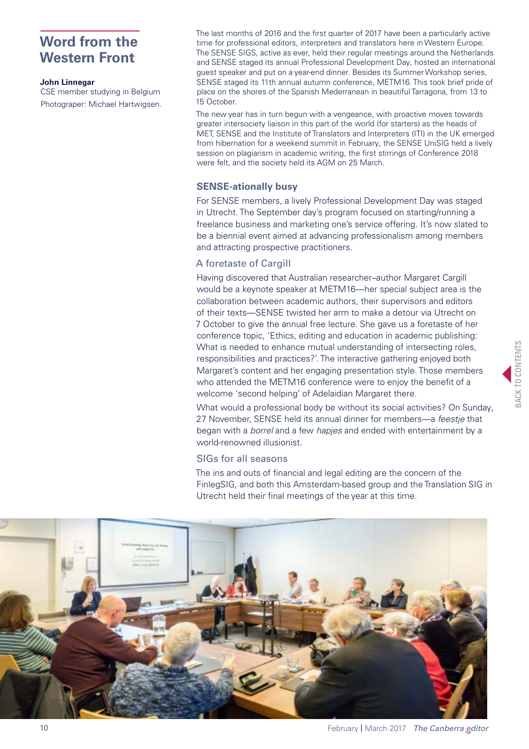# <span id="page-9-0"></span>**Word from the Western Front**

#### **John Linnegar**

CSE member studying in Belgium Photograper: Michael Hartwigsen. The last months of 2016 and the first quarter of 2017 have been a particularly active time for professional editors, interpreters and translators here in Western Europe. The SENSE SIGS, active as ever, held their regular meetings around the Netherlands and SENSE staged its annual Professional Development Day, hosted an international guest speaker and put on a year-end dinner. Besides its Summer Workshop series, SENSE staged its 11th annual autumn conference, METM16. This took brief pride of place on the shores of the Spanish Mederranean in beautiful Tarragona, from 13 to 15 October.

The new year has in turn begun with a vengeance, with proactive moves towards greater intersociety liaison in this part of the world (for starters) as the heads of MET, SENSE and the Institute of Translators and Interpreters (ITI) in the UK emerged from hibernation for a weekend summit in February, the SENSE UniSIG held a lively session on plagiarism in academic writing, the first stirrings of Conference 2018 were felt, and the society held its AGM on 25 March.

## **SENSE-ationally busy**

For SENSE members, a lively Professional Development Day was staged in Utrecht. The September day's program focused on starting/running a freelance business and marketing one's service offering. It's now slated to be a biennial event aimed at advancing professionalism among members and attracting prospective practitioners.

## A foretaste of Cargill

Having discovered that Australian researcher–author Margaret Cargill would be a keynote speaker at METM16—her special subject area is the collaboration between academic authors, their supervisors and editors of their texts—SENSE twisted her arm to make a detour via Utrecht on 7 October to give the annual free lecture. She gave us a foretaste of her conference topic, 'Ethics, editing and education in academic publishing: What is needed to enhance mutual understanding of intersecting roles, responsibilities and practices?'. The interactive gathering enjoyed both Margaret's content and her engaging presentation style. Those members who attended the METM16 conference were to enjoy the benefit of a welcome 'second helping' of Adelaidian Margaret there.

What would a professional body be without its social activities? On Sunday, 27 November, SENSE held its annual dinner for members—a *feestje* that began with a *borrel* and a few *hapjes* and ended with entertainment by a world-renowned illusionist.

## SIGs for all seasons

The ins and outs of financial and legal editing are the concern of the FinlegSIG, and both this Amsterdam-based group and the Translation SIG in Utrecht held their final meetings of the year at this time.



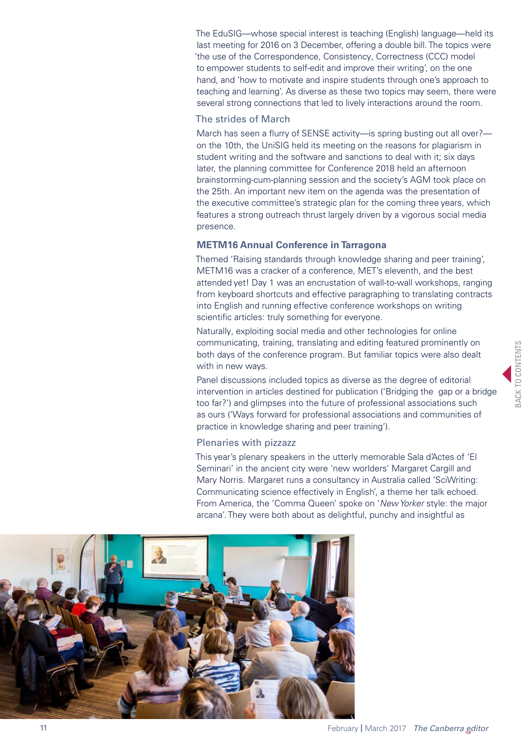The EduSIG—whose special interest is teaching (English) language—held its last meeting for 2016 on 3 December, offering a double bill. The topics were 'the use of the Correspondence, Consistency, Correctness (CCC) model to empower students to self-edit and improve their writing', on the one hand, and 'how to motivate and inspire students through one's approach to teaching and learning'. As diverse as these two topics may seem, there were several strong connections that led to lively interactions around the room.

#### The strides of March

March has seen a flurry of SENSE activity—is spring busting out all over? on the 10th, the UniSIG held its meeting on the reasons for plagiarism in student writing and the software and sanctions to deal with it; six days later, the planning committee for Conference 2018 held an afternoon brainstorming-cum-planning session and the society's AGM took place on the 25th. An important new item on the agenda was the presentation of the executive committee's strategic plan for the coming three years, which features a strong outreach thrust largely driven by a vigorous social media presence.

### **METM16 Annual Conference in Tarragona**

Themed 'Raising standards through knowledge sharing and peer training', METM16 was a cracker of a conference, MET's eleventh, and the best attended yet! Day 1 was an encrustation of wall-to-wall workshops, ranging from keyboard shortcuts and effective paragraphing to translating contracts into English and running effective conference workshops on writing scientific articles: truly something for everyone.

Naturally, exploiting social media and other technologies for online communicating, training, translating and editing featured prominently on both days of the conference program. But familiar topics were also dealt with in new ways.

Panel discussions included topics as diverse as the degree of editorial intervention in articles destined for publication ('Bridging the gap or a bridge too far?') and glimpses into the future of professional associations such as ours ('Ways forward for professional associations and communities of practice in knowledge sharing and peer training').

### Plenaries with pizzazz

This year's plenary speakers in the utterly memorable Sala d'Actes of 'El Seminari' in the ancient city were 'new worlders' Margaret Cargill and Mary Norris. Margaret runs a consultancy in Australia called 'SciWriting: Communicating science effectively in English', a theme her talk echoed. From America, the 'Comma Queen' spoke on '*New Yorker* style: the major arcana'. They were both about as delightful, punchy and insightful as

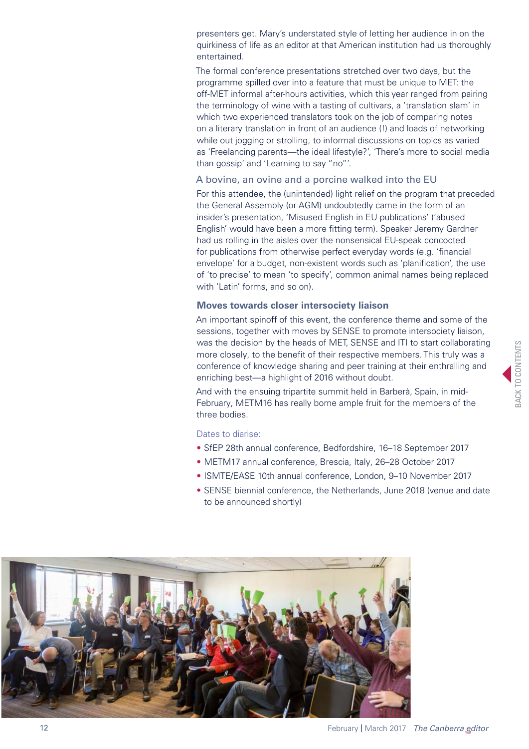presenters get. Mary's understated style of letting her audience in on the quirkiness of life as an editor at that American institution had us thoroughly entertained.

The formal conference presentations stretched over two days, but the programme spilled over into a feature that must be unique to MET: the off-MET informal after-hours activities, which this year ranged from pairing the terminology of wine with a tasting of cultivars, a 'translation slam' in which two experienced translators took on the job of comparing notes on a literary translation in front of an audience (!) and loads of networking while out jogging or strolling, to informal discussions on topics as varied as 'Freelancing parents—the ideal lifestyle?', 'There's more to social media than gossip' and 'Learning to say "no"'.

### A bovine, an ovine and a porcine walked into the EU

For this attendee, the (unintended) light relief on the program that preceded the General Assembly (or AGM) undoubtedly came in the form of an insider's presentation, 'Misused English in EU publications' ('abused English' would have been a more fitting term). Speaker Jeremy Gardner had us rolling in the aisles over the nonsensical EU-speak concocted for publications from otherwise perfect everyday words (e.g. 'financial envelope' for a budget, non-existent words such as 'planification', the use of 'to precise' to mean 'to specify', common animal names being replaced with 'Latin' forms, and so on).

## **Moves towards closer intersociety liaison**

An important spinoff of this event, the conference theme and some of the sessions, together with moves by SENSE to promote intersociety liaison, was the decision by the heads of MET, SENSE and ITI to start collaborating more closely, to the benefit of their respective members. This truly was a conference of knowledge sharing and peer training at their enthralling and enriching best—a highlight of 2016 without doubt.

And with the ensuing tripartite summit held in Barberà, Spain, in mid-February, METM16 has really borne ample fruit for the members of the three bodies.

Dates to diarise:

- SfEP 28th annual conference, Bedfordshire, 16–18 September 2017
- METM17 annual conference, Brescia, Italy, 26–28 October 2017
- ISMTE/EASE 10th annual conference, London, 9–10 November 2017
- SENSE biennial conference, the Netherlands, June 2018 (venue and date to be announced shortly)

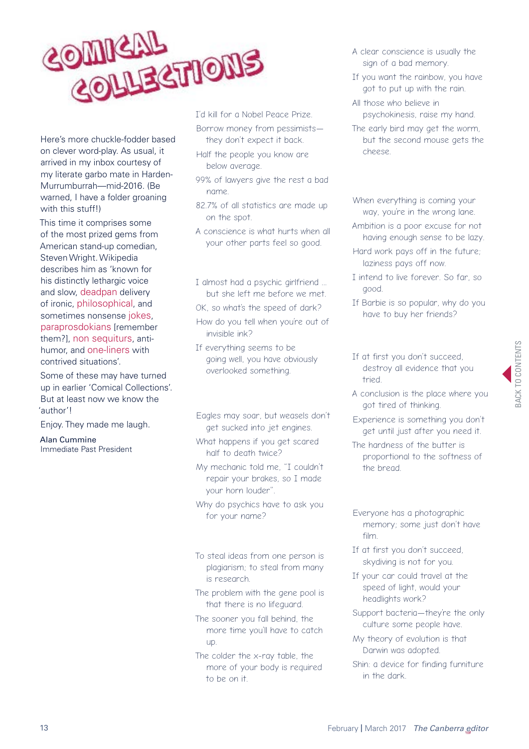<span id="page-12-0"></span>

Here's more chuckle-fodder based on clever word-play. As usual, it arrived in my inbox courtesy of my literate garbo mate in Harden-Murrumburrah—mid-2016. (Be warned, I have a folder groaning with this stuff!)

This time it comprises some of the most prized gems from American stand-up comedian, Steven Wright. Wikipedia describes him as 'known for his distinctly lethargic voice and slow, [deadpan](https://en.wikipedia.org/wiki/Deadpan) delivery of ironic, philosophical, and sometimes nonsense [jokes](https://en.wikipedia.org/wiki/Joke), [paraprosdokians](https://en.wikipedia.org/wiki/Paraprosdokian) [remember them?], [non sequiturs,](https://en.wikipedia.org/wiki/Non_sequitur_(literary_device)) [anti](https://en.wikipedia.org/wiki/Anti-humor)[humor,](https://en.wikipedia.org/wiki/Anti-humor) and [one-liners](https://en.wikipedia.org/wiki/One-liner_joke) with contrived situations'.

Some of these may have turned up in earlier 'Comical Collections'. But at least now we know the 'author'!

Enjoy. They made me laugh.

Alan Cummine Immediate Past President I'd kill for a Nobel Peace Prize.

- Borrow money from pessimists they don't expect it back.
- Half the people you know are below average.
- 99% of lawyers give the rest a bad name.
- 82.7% of all statistics are made up on the spot.
- A conscience is what hurts when all your other parts feel so good.

# I almost had a psychic girlfriend ...

but she left me before we met.

- OK, so what's the speed of dark?
- How do you tell when you're out of invisible ink?
- If everything seems to be going well, you have obviously overlooked something.

- Eagles may soar, but weasels don't get sucked into jet engines.
- What happens if you get scared half to death twice?
- My mechanic told me, "I couldn't repair your brakes, so I made your horn louder".
- Why do psychics have to ask you for your name?

- To steal ideas from one person is plagiarism; to steal from many is research.
- The problem with the gene pool is that there is no lifeguard.
- The sooner you fall behind, the more time you'll have to catch up.
- The colder the x-ray table, the more of your body is required to be on it.
- A clear conscience is usually the sign of a bad memory.
- If you want the rainbow, you have got to put up with the rain.
- All those who believe in psychokinesis, raise my hand.
- The early bird may get the worm, but the second mouse gets the cheese.

- When everything is coming your way, you're in the wrong lane.
- Ambition is a poor excuse for not having enough sense to be lazy.
- Hard work pays off in the future; laziness pays off now.
- I intend to live forever. So far, so good.
- If Barbie is so popular, why do you have to buy her friends?

### If at first you don't succeed, destroy all evidence that you tried.

- A conclusion is the place where you got tired of thinking.
- Experience is something you don't get until just after you need it.
- The hardness of the butter is proportional to the softness of the bread.

# Everyone has a photographic

- memory; some just don't have film.
- If at first you don't succeed, skydiving is not for you.
- If your car could travel at the speed of light, would your headlights work?
- Support bacteria—they're the only culture some people have.
- My theory of evolution is that Darwin was adopted.
- Shin: a device for finding furniture in the dark.